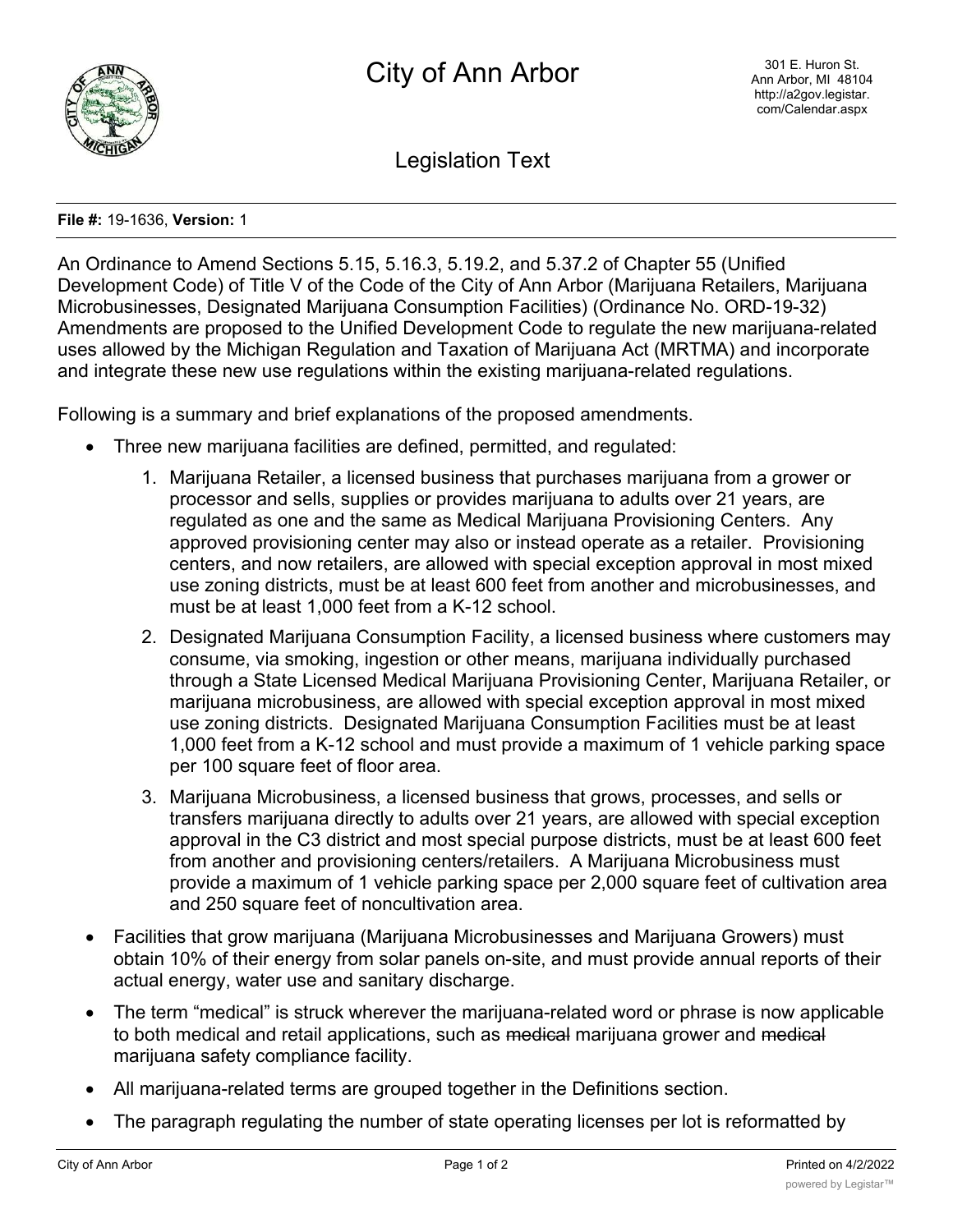

Legislation Text

## **File #:** 19-1636, **Version:** 1

An Ordinance to Amend Sections 5.15, 5.16.3, 5.19.2, and 5.37.2 of Chapter 55 (Unified Development Code) of Title V of the Code of the City of Ann Arbor (Marijuana Retailers, Marijuana Microbusinesses, Designated Marijuana Consumption Facilities) (Ordinance No. ORD-19-32) Amendments are proposed to the Unified Development Code to regulate the new marijuana-related uses allowed by the Michigan Regulation and Taxation of Marijuana Act (MRTMA) and incorporate and integrate these new use regulations within the existing marijuana-related regulations.

Following is a summary and brief explanations of the proposed amendments.

- · Three new marijuana facilities are defined, permitted, and regulated:
	- 1. Marijuana Retailer, a licensed business that purchases marijuana from a grower or processor and sells, supplies or provides marijuana to adults over 21 years, are regulated as one and the same as Medical Marijuana Provisioning Centers. Any approved provisioning center may also or instead operate as a retailer. Provisioning centers, and now retailers, are allowed with special exception approval in most mixed use zoning districts, must be at least 600 feet from another and microbusinesses, and must be at least 1,000 feet from a K-12 school.
	- 2. Designated Marijuana Consumption Facility, a licensed business where customers may consume, via smoking, ingestion or other means, marijuana individually purchased through a State Licensed Medical Marijuana Provisioning Center, Marijuana Retailer, or marijuana microbusiness, are allowed with special exception approval in most mixed use zoning districts. Designated Marijuana Consumption Facilities must be at least 1,000 feet from a K-12 school and must provide a maximum of 1 vehicle parking space per 100 square feet of floor area.
	- 3. Marijuana Microbusiness, a licensed business that grows, processes, and sells or transfers marijuana directly to adults over 21 years, are allowed with special exception approval in the C3 district and most special purpose districts, must be at least 600 feet from another and provisioning centers/retailers. A Marijuana Microbusiness must provide a maximum of 1 vehicle parking space per 2,000 square feet of cultivation area and 250 square feet of noncultivation area.
- · Facilities that grow marijuana (Marijuana Microbusinesses and Marijuana Growers) must obtain 10% of their energy from solar panels on-site, and must provide annual reports of their actual energy, water use and sanitary discharge.
- The term "medical" is struck wherever the marijuana-related word or phrase is now applicable to both medical and retail applications, such as medical marijuana grower and medical marijuana safety compliance facility.
- · All marijuana-related terms are grouped together in the Definitions section.
- The paragraph regulating the number of state operating licenses per lot is reformatted by